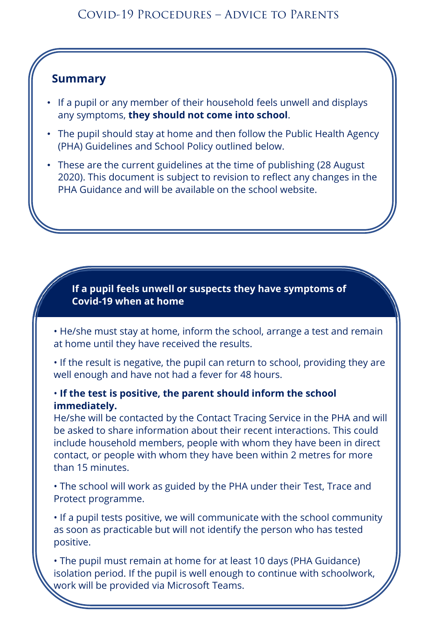### **Summary**

- If a pupil or any member of their household feels unwell and displays any symptoms, **they should not come into school**.
- The pupil should stay at home and then follow the Public Health Agency (PHA) Guidelines and School Policy outlined below.
- These are the current guidelines at the time of publishing (28 August 2020). This document is subject to revision to reflect any changes in the PHA Guidance and will be available on the school website.

**If a pupil feels unwell or suspects they have symptoms of Covid-19 when at home**

• He/she must stay at home, inform the school, arrange a test and remain at home until they have received the results.

• If the result is negative, the pupil can return to school, providing they are well enough and have not had a fever for 48 hours.

#### • **If the test is positive, the parent should inform the school immediately.**

He/she will be contacted by the Contact Tracing Service in the PHA and will be asked to share information about their recent interactions. This could include household members, people with whom they have been in direct contact, or people with whom they have been within 2 metres for more than 15 minutes.

• The school will work as guided by the PHA under their Test, Trace and Protect programme.

• If a pupil tests positive, we will communicate with the school community as soon as practicable but will not identify the person who has tested positive.

• The pupil must remain at home for at least 10 days (PHA Guidance) isolation period. If the pupil is well enough to continue with schoolwork, work will be provided via Microsoft Teams.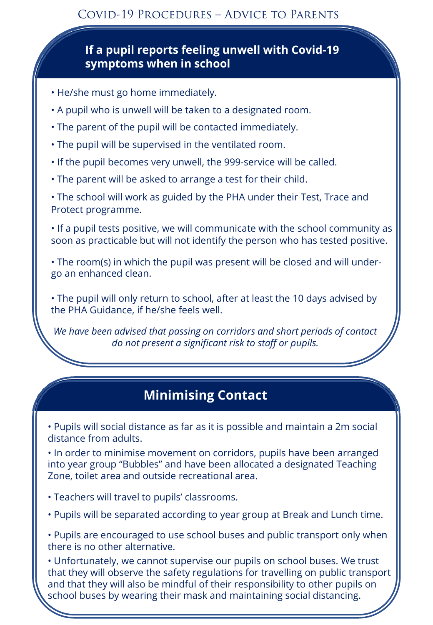### **If a pupil reports feeling unwell with Covid-19 symptoms when in school**

- He/she must go home immediately.
- A pupil who is unwell will be taken to a designated room.
- The parent of the pupil will be contacted immediately.
- The pupil will be supervised in the ventilated room.
- If the pupil becomes very unwell, the 999-service will be called.
- The parent will be asked to arrange a test for their child.

• The school will work as guided by the PHA under their Test, Trace and Protect programme.

• If a pupil tests positive, we will communicate with the school community as soon as practicable but will not identify the person who has tested positive.

• The room(s) in which the pupil was present will be closed and will undergo an enhanced clean.

• The pupil will only return to school, after at least the 10 days advised by the PHA Guidance, if he/she feels well.

*We have been advised that passing on corridors and short periods of contact do not present a significant risk to staff or pupils.* 

### **Minimising Contact**

• Pupils will social distance as far as it is possible and maintain a 2m social distance from adults.

• In order to minimise movement on corridors, pupils have been arranged into year group "Bubbles" and have been allocated a designated Teaching Zone, toilet area and outside recreational area.

• Teachers will travel to pupils' classrooms.

• Pupils will be separated according to year group at Break and Lunch time.

• Pupils are encouraged to use school buses and public transport only when there is no other alternative.

• Unfortunately, we cannot supervise our pupils on school buses. We trust that they will observe the safety regulations for travelling on public transport and that they will also be mindful of their responsibility to other pupils on school buses by wearing their mask and maintaining social distancing.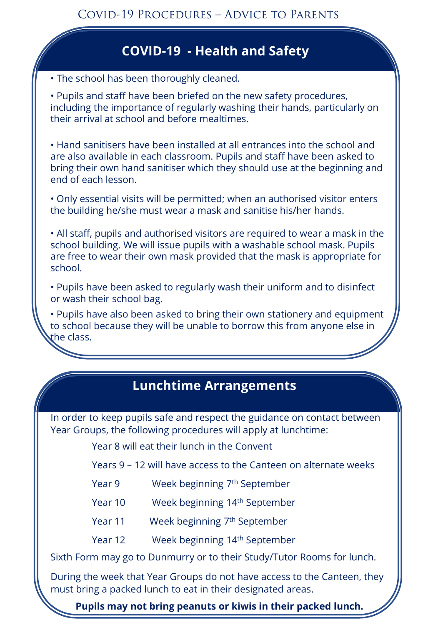## **Cleaning and Hygiene COVID-19 - Health and Safety**

• The school has been thoroughly cleaned.

• Pupils and staff have been briefed on the new safety procedures, including the importance of regularly washing their hands, particularly on their arrival at school and before mealtimes.

• Hand sanitisers have been installed at all entrances into the school and are also available in each classroom. Pupils and staff have been asked to bring their own hand sanitiser which they should use at the beginning and end of each lesson.

• Only essential visits will be permitted; when an authorised visitor enters the building he/she must wear a mask and sanitise his/her hands.

• All staff, pupils and authorised visitors are required to wear a mask in the school building. We will issue pupils with a washable school mask. Pupils are free to wear their own mask provided that the mask is appropriate for school.

• Pupils have been asked to regularly wash their uniform and to disinfect or wash their school bag.

• Pupils have also been asked to bring their own stationery and equipment to school because they will be unable to borrow this from anyone else in the class.

# **Information to Pupils Lunchtime Arrangements**

In order to keep pupils safe and respect the guidance on contact between Year Groups, the following procedures will apply at lunchtime:

Year 8 will eat their lunch in the Convent

Years 9 – 12 will have access to the Canteen on alternate weeks

- Year 9 Week beginning 7th September
- Year 10 Week beginning 14th September
- Year 11 Week beginning 7<sup>th</sup> September
- Year 12 Week beginning 14th September

Sixth Form may go to Dunmurry or to their Study/Tutor Rooms for lunch.

During the week that Year Groups do not have access to the Canteen, they must bring a packed lunch to eat in their designated areas.

**Pupils may not bring peanuts or kiwis in their packed lunch.**